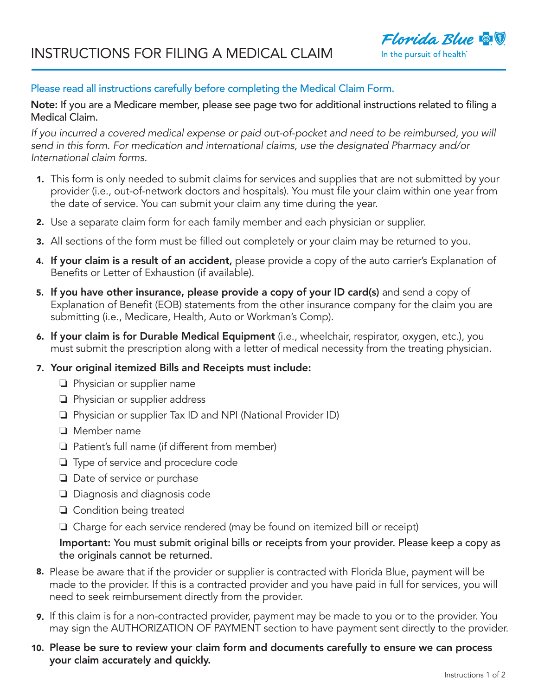

## Please read all instructions carefully before completing the Medical Claim Form.

Note: If you are a Medicare member, please see page two for additional instructions related to filing a Medical Claim.

*If you incurred a covered medical expense or paid out-of-pocket and need to be reimbursed, you will send in this form. For medication and international claims, use the designated Pharmacy and/or International claim forms.*

- **1.** This form is only needed to submit claims for services and supplies that are not submitted by your provider (i.e., out-of-network doctors and hospitals). You must file your claim within one year from the date of service. You can submit your claim any time during the year.
- **2.** Use a separate claim form for each family member and each physician or supplier.
- All sections of the form must be filled out completely or your claim may be returned to you. 3.
- **4. If your claim is a result of an accident,** please provide a copy of the auto carrier's Explanation of Benefits or Letter of Exhaustion (if available).
- 5. If you have other insurance, please provide a copy of your ID card(s) and send a copy of Explanation of Benefit (EOB) statements from the other insurance company for the claim you are submitting (i.e., Medicare, Health, Auto or Workman's Comp).
- **6. If your claim is for Durable Medical Equipment** (i.e., wheelchair, respirator, oxygen, etc.), you must submit the prescription along with a letter of medical necessity from the treating physician.

#### 7. Your original itemized Bills and Receipts must include:

- $\Box$  Physician or supplier name
- $\Box$  Physician or supplier address
- $\Box$  Physician or supplier Tax ID and NPI (National Provider ID)
- $\Box$  Member name
- $\Box$  Patient's full name (if different from member)
- $\Box$  Type of service and procedure code
- $\Box$  Date of service or purchase
- $\Box$  Diagnosis and diagnosis code
- $\Box$  Condition being treated
- $\Box$  Charge for each service rendered (may be found on itemized bill or receipt)

## Important: You must submit original bills or receipts from your provider. Please keep a copy as the originals cannot be returned.

- **8.** Please be aware that if the provider or supplier is contracted with Florida Blue, payment will be made to the provider. If this is a contracted provider and you have paid in full for services, you will need to seek reimbursement directly from the provider.
- **9.** If this claim is for a non-contracted provider, payment may be made to you or to the provider. You may sign the AUTHORIZATION OF PAYMENT section to have payment sent directly to the provider.
- Please be sure to review your claim form and documents carefully to ensure we can process 10. your claim accurately and quickly.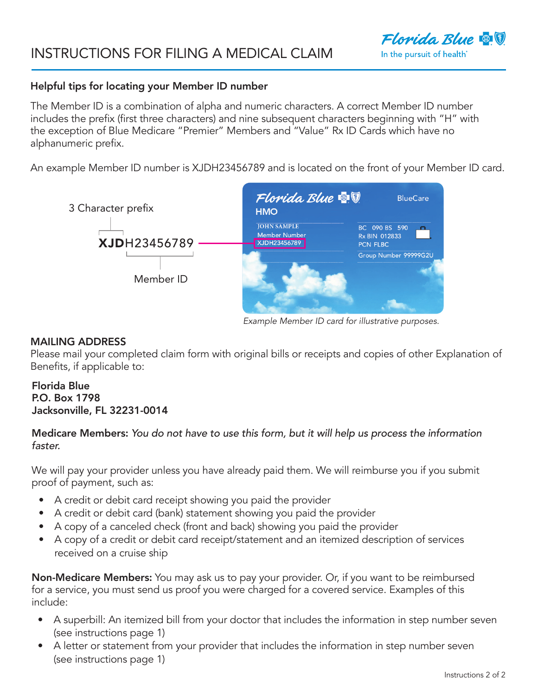

#### Helpful tips for locating your Member ID number

The Member ID is a combination of alpha and numeric characters. A correct Member ID number includes the prefix (first three characters) and nine subsequent characters beginning with "H" with the exception of Blue Medicare "Premier" Members and "Value" Rx ID Cards which have no alphanumeric prefix.

An example Member ID number is XJDH23456789 and is located on the front of your Member ID card.



*Example Member ID card for illustrative purposes.*

#### MAILING ADDRESS

Please mail your completed claim form with original bills or receipts and copies of other Explanation of Benefits, if applicable to:

## Florida Blue P.O. Box 1798 Jacksonville, FL 32231-0014

## Medicare Members: *You do not have to use this form, but it will help us process the information faster.*

We will pay your provider unless you have already paid them. We will reimburse you if you submit proof of payment, such as:

- A credit or debit card receipt showing you paid the provider
- A credit or debit card (bank) statement showing you paid the provider
- A copy of a canceled check (front and back) showing you paid the provider
- A copy of a credit or debit card receipt/statement and an itemized description of services received on a cruise ship

Non-Medicare Members: You may ask us to pay your provider. Or, if you want to be reimbursed for a service, you must send us proof you were charged for a covered service. Examples of this include:

- A superbill: An itemized bill from your doctor that includes the information in step number seven (see instructions page 1)
- A letter or statement from your provider that includes the information in step number seven (see instructions page 1)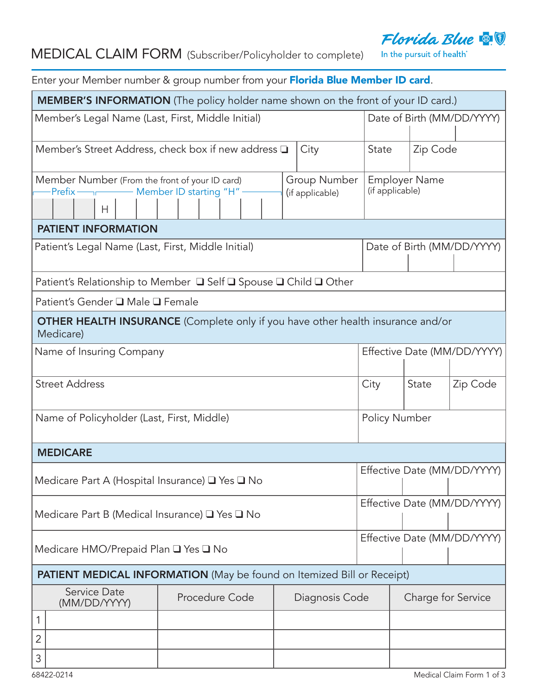# Florida Blue **& !**

## MEDICAL CLAIM FORM (Subscriber/Policyholder to complete)

In the pursuit of health<sup>®</sup>

| Enter your Member number & group number from your Florida Blue Member ID card.                                               |                |  |  |                |                      |                                         |                             |  |  |  |
|------------------------------------------------------------------------------------------------------------------------------|----------------|--|--|----------------|----------------------|-----------------------------------------|-----------------------------|--|--|--|
| MEMBER'S INFORMATION (The policy holder name shown on the front of your ID card.)                                            |                |  |  |                |                      |                                         |                             |  |  |  |
| Member's Legal Name (Last, First, Middle Initial)                                                                            |                |  |  |                |                      |                                         | Date of Birth (MM/DD/YYYY)  |  |  |  |
| Member's Street Address, check box if new address Q<br>City                                                                  |                |  |  |                |                      | Zip Code<br>State                       |                             |  |  |  |
| Group Number<br>Member Number (From the front of your ID card)<br>Member ID starting "H"<br>Prefix-<br>(if applicable)<br>H. |                |  |  |                |                      | <b>Employer Name</b><br>(if applicable) |                             |  |  |  |
| <b>PATIENT INFORMATION</b>                                                                                                   |                |  |  |                |                      |                                         |                             |  |  |  |
| Patient's Legal Name (Last, First, Middle Initial)                                                                           |                |  |  |                |                      | Date of Birth (MM/DD/YYYY)              |                             |  |  |  |
| Patient's Relationship to Member □ Self □ Spouse □ Child □ Other                                                             |                |  |  |                |                      |                                         |                             |  |  |  |
| Patient's Gender □ Male □ Female                                                                                             |                |  |  |                |                      |                                         |                             |  |  |  |
| <b>OTHER HEALTH INSURANCE</b> (Complete only if you have other health insurance and/or<br>Medicare)                          |                |  |  |                |                      |                                         |                             |  |  |  |
| Name of Insuring Company                                                                                                     |                |  |  |                |                      | Effective Date (MM/DD/YYYY)             |                             |  |  |  |
| <b>Street Address</b>                                                                                                        |                |  |  |                | City                 | State                                   | Zip Code                    |  |  |  |
| Name of Policyholder (Last, First, Middle)                                                                                   |                |  |  |                | <b>Policy Number</b> |                                         |                             |  |  |  |
| <b>MEDICARE</b>                                                                                                              |                |  |  |                |                      |                                         |                             |  |  |  |
| Medicare Part A (Hospital Insurance) □ Yes □ No                                                                              |                |  |  |                |                      | Effective Date (MM/DD/YYYY)             |                             |  |  |  |
| Medicare Part B (Medical Insurance) Q Yes Q No                                                                               |                |  |  |                |                      |                                         | Effective Date (MM/DD/YYYY) |  |  |  |
| Medicare HMO/Prepaid Plan □ Yes □ No                                                                                         |                |  |  |                |                      | Effective Date (MM/DD/YYYY)             |                             |  |  |  |
| <b>PATIENT MEDICAL INFORMATION</b> (May be found on Itemized Bill or Receipt)                                                |                |  |  |                |                      |                                         |                             |  |  |  |
| Service Date<br>(MM/DD/YYYY)                                                                                                 | Procedure Code |  |  | Diagnosis Code |                      | Charge for Service                      |                             |  |  |  |
| 1                                                                                                                            |                |  |  |                |                      |                                         |                             |  |  |  |
| 2                                                                                                                            |                |  |  |                |                      |                                         |                             |  |  |  |
| 3                                                                                                                            |                |  |  |                |                      |                                         |                             |  |  |  |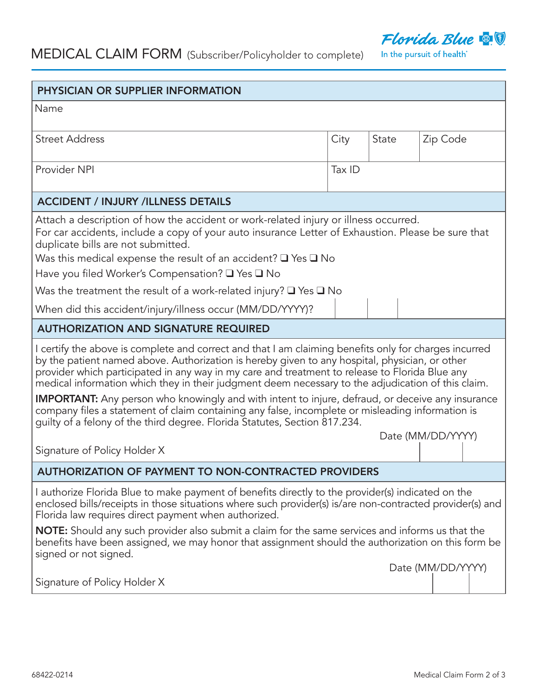

|  | <b>MEDICAL CLAIM FORM</b> (Subscriber/Policyholder to complete) |
|--|-----------------------------------------------------------------|
|--|-----------------------------------------------------------------|

In the pursuit of health<sup>®</sup>

| Name<br><b>Street Address</b><br>City<br>State<br>Zip Code<br>Provider NPI<br>Tax ID<br><b>ACCIDENT / INJURY /ILLNESS DETAILS</b><br>Attach a description of how the accident or work-related injury or illness occurred.<br>For car accidents, include a copy of your auto insurance Letter of Exhaustion. Please be sure that<br>duplicate bills are not submitted.<br>Was this medical expense the result of an accident? $\square$ Yes $\square$ No<br>Have you filed Worker's Compensation? ■ Yes ■ No<br>Was the treatment the result of a work-related injury? $\Box$ Yes $\Box$ No<br>When did this accident/injury/illness occur (MM/DD/YYYY)?<br><b>AUTHORIZATION AND SIGNATURE REQUIRED</b><br>I certify the above is complete and correct and that I am claiming benefits only for charges incurred<br>by the patient named above. Authorization is hereby given to any hospital, physician, or other<br>provider which participated in any way in my care and treatment to release to Florida Blue any<br>medical information which they in their judgment deem necessary to the adjudication of this claim.<br><b>IMPORTANT:</b> Any person who knowingly and with intent to injure, defraud, or deceive any insurance<br>company files a statement of claim containing any false, incomplete or misleading information is<br>guilty of a felony of the third degree. Florida Statutes, Section 817.234.<br>Date (MM/DD/YYYY)<br>Signature of Policy Holder X<br><b>AUTHORIZATION OF PAYMENT TO NON-CONTRACTED PROVIDERS</b><br>I authorize Florida Blue to make payment of benefits directly to the provider(s) indicated on the<br>enclosed bills/receipts in those situations where such provider(s) is/are non-contracted provider(s) and<br>Florida law requires direct payment when authorized.<br><b>NOTE:</b> Should any such provider also submit a claim for the same services and informs us that the<br>benefits have been assigned, we may honor that assignment should the authorization on this form be<br>signed or not signed.<br>Date (MM/DD/YYYY)<br>Signature of Policy Holder X | PHYSICIAN OR SUPPLIER INFORMATION |  |  |  |  |  |  |  |  |  |  |
|--------------------------------------------------------------------------------------------------------------------------------------------------------------------------------------------------------------------------------------------------------------------------------------------------------------------------------------------------------------------------------------------------------------------------------------------------------------------------------------------------------------------------------------------------------------------------------------------------------------------------------------------------------------------------------------------------------------------------------------------------------------------------------------------------------------------------------------------------------------------------------------------------------------------------------------------------------------------------------------------------------------------------------------------------------------------------------------------------------------------------------------------------------------------------------------------------------------------------------------------------------------------------------------------------------------------------------------------------------------------------------------------------------------------------------------------------------------------------------------------------------------------------------------------------------------------------------------------------------------------------------------------------------------------------------------------------------------------------------------------------------------------------------------------------------------------------------------------------------------------------------------------------------------------------------------------------------------------------------------------------------------------------------------------------------------------------------------------------------------------|-----------------------------------|--|--|--|--|--|--|--|--|--|--|
|                                                                                                                                                                                                                                                                                                                                                                                                                                                                                                                                                                                                                                                                                                                                                                                                                                                                                                                                                                                                                                                                                                                                                                                                                                                                                                                                                                                                                                                                                                                                                                                                                                                                                                                                                                                                                                                                                                                                                                                                                                                                                                                    |                                   |  |  |  |  |  |  |  |  |  |  |
|                                                                                                                                                                                                                                                                                                                                                                                                                                                                                                                                                                                                                                                                                                                                                                                                                                                                                                                                                                                                                                                                                                                                                                                                                                                                                                                                                                                                                                                                                                                                                                                                                                                                                                                                                                                                                                                                                                                                                                                                                                                                                                                    |                                   |  |  |  |  |  |  |  |  |  |  |
|                                                                                                                                                                                                                                                                                                                                                                                                                                                                                                                                                                                                                                                                                                                                                                                                                                                                                                                                                                                                                                                                                                                                                                                                                                                                                                                                                                                                                                                                                                                                                                                                                                                                                                                                                                                                                                                                                                                                                                                                                                                                                                                    |                                   |  |  |  |  |  |  |  |  |  |  |
|                                                                                                                                                                                                                                                                                                                                                                                                                                                                                                                                                                                                                                                                                                                                                                                                                                                                                                                                                                                                                                                                                                                                                                                                                                                                                                                                                                                                                                                                                                                                                                                                                                                                                                                                                                                                                                                                                                                                                                                                                                                                                                                    |                                   |  |  |  |  |  |  |  |  |  |  |
|                                                                                                                                                                                                                                                                                                                                                                                                                                                                                                                                                                                                                                                                                                                                                                                                                                                                                                                                                                                                                                                                                                                                                                                                                                                                                                                                                                                                                                                                                                                                                                                                                                                                                                                                                                                                                                                                                                                                                                                                                                                                                                                    |                                   |  |  |  |  |  |  |  |  |  |  |
|                                                                                                                                                                                                                                                                                                                                                                                                                                                                                                                                                                                                                                                                                                                                                                                                                                                                                                                                                                                                                                                                                                                                                                                                                                                                                                                                                                                                                                                                                                                                                                                                                                                                                                                                                                                                                                                                                                                                                                                                                                                                                                                    |                                   |  |  |  |  |  |  |  |  |  |  |
|                                                                                                                                                                                                                                                                                                                                                                                                                                                                                                                                                                                                                                                                                                                                                                                                                                                                                                                                                                                                                                                                                                                                                                                                                                                                                                                                                                                                                                                                                                                                                                                                                                                                                                                                                                                                                                                                                                                                                                                                                                                                                                                    |                                   |  |  |  |  |  |  |  |  |  |  |
|                                                                                                                                                                                                                                                                                                                                                                                                                                                                                                                                                                                                                                                                                                                                                                                                                                                                                                                                                                                                                                                                                                                                                                                                                                                                                                                                                                                                                                                                                                                                                                                                                                                                                                                                                                                                                                                                                                                                                                                                                                                                                                                    |                                   |  |  |  |  |  |  |  |  |  |  |
|                                                                                                                                                                                                                                                                                                                                                                                                                                                                                                                                                                                                                                                                                                                                                                                                                                                                                                                                                                                                                                                                                                                                                                                                                                                                                                                                                                                                                                                                                                                                                                                                                                                                                                                                                                                                                                                                                                                                                                                                                                                                                                                    |                                   |  |  |  |  |  |  |  |  |  |  |
|                                                                                                                                                                                                                                                                                                                                                                                                                                                                                                                                                                                                                                                                                                                                                                                                                                                                                                                                                                                                                                                                                                                                                                                                                                                                                                                                                                                                                                                                                                                                                                                                                                                                                                                                                                                                                                                                                                                                                                                                                                                                                                                    |                                   |  |  |  |  |  |  |  |  |  |  |
|                                                                                                                                                                                                                                                                                                                                                                                                                                                                                                                                                                                                                                                                                                                                                                                                                                                                                                                                                                                                                                                                                                                                                                                                                                                                                                                                                                                                                                                                                                                                                                                                                                                                                                                                                                                                                                                                                                                                                                                                                                                                                                                    |                                   |  |  |  |  |  |  |  |  |  |  |
|                                                                                                                                                                                                                                                                                                                                                                                                                                                                                                                                                                                                                                                                                                                                                                                                                                                                                                                                                                                                                                                                                                                                                                                                                                                                                                                                                                                                                                                                                                                                                                                                                                                                                                                                                                                                                                                                                                                                                                                                                                                                                                                    |                                   |  |  |  |  |  |  |  |  |  |  |
|                                                                                                                                                                                                                                                                                                                                                                                                                                                                                                                                                                                                                                                                                                                                                                                                                                                                                                                                                                                                                                                                                                                                                                                                                                                                                                                                                                                                                                                                                                                                                                                                                                                                                                                                                                                                                                                                                                                                                                                                                                                                                                                    |                                   |  |  |  |  |  |  |  |  |  |  |
|                                                                                                                                                                                                                                                                                                                                                                                                                                                                                                                                                                                                                                                                                                                                                                                                                                                                                                                                                                                                                                                                                                                                                                                                                                                                                                                                                                                                                                                                                                                                                                                                                                                                                                                                                                                                                                                                                                                                                                                                                                                                                                                    |                                   |  |  |  |  |  |  |  |  |  |  |
|                                                                                                                                                                                                                                                                                                                                                                                                                                                                                                                                                                                                                                                                                                                                                                                                                                                                                                                                                                                                                                                                                                                                                                                                                                                                                                                                                                                                                                                                                                                                                                                                                                                                                                                                                                                                                                                                                                                                                                                                                                                                                                                    |                                   |  |  |  |  |  |  |  |  |  |  |
|                                                                                                                                                                                                                                                                                                                                                                                                                                                                                                                                                                                                                                                                                                                                                                                                                                                                                                                                                                                                                                                                                                                                                                                                                                                                                                                                                                                                                                                                                                                                                                                                                                                                                                                                                                                                                                                                                                                                                                                                                                                                                                                    |                                   |  |  |  |  |  |  |  |  |  |  |
|                                                                                                                                                                                                                                                                                                                                                                                                                                                                                                                                                                                                                                                                                                                                                                                                                                                                                                                                                                                                                                                                                                                                                                                                                                                                                                                                                                                                                                                                                                                                                                                                                                                                                                                                                                                                                                                                                                                                                                                                                                                                                                                    |                                   |  |  |  |  |  |  |  |  |  |  |